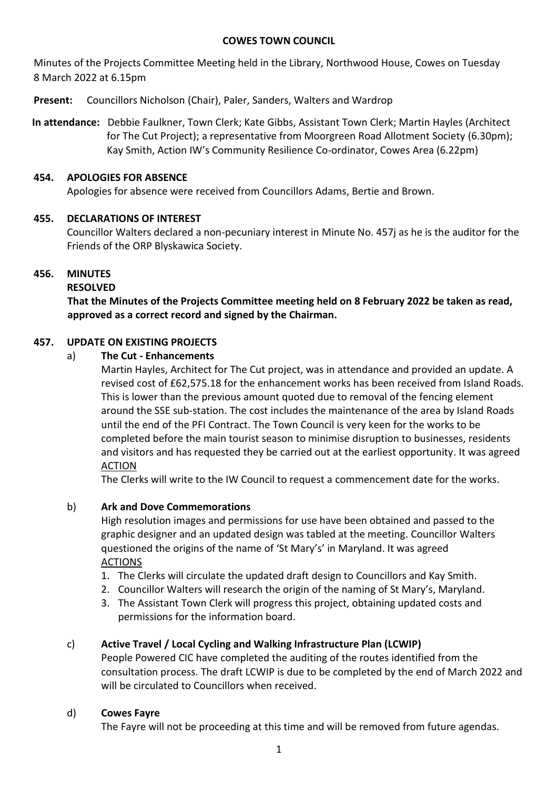#### **COWES TOWN COUNCIL**

Minutes of the Projects Committee Meeting held in the Library, Northwood House, Cowes on Tuesday 8 March 2022 at 6.15pm

**Present:** Councillors Nicholson (Chair), Paler, Sanders, Walters and Wardrop

**In attendance:** Debbie Faulkner, Town Clerk; Kate Gibbs, Assistant Town Clerk; Martin Hayles (Architect for The Cut Project); a representative from Moorgreen Road Allotment Society (6.30pm); Kay Smith, Action IW's Community Resilience Co-ordinator, Cowes Area (6.22pm)

# **454. APOLOGIES FOR ABSENCE**

Apologies for absence were received from Councillors Adams, Bertie and Brown.

# **455. DECLARATIONS OF INTEREST**

Councillor Walters declared a non-pecuniary interest in Minute No. 457j as he is the auditor for the Friends of the ORP Blyskawica Society.

# **456. MINUTES**

# **RESOLVED**

**That the Minutes of the Projects Committee meeting held on 8 February 2022 be taken as read, approved as a correct record and signed by the Chairman.**

# **457. UPDATE ON EXISTING PROJECTS**

## a) **The Cut - Enhancements**

Martin Hayles, Architect for The Cut project, was in attendance and provided an update. A revised cost of £62,575.18 for the enhancement works has been received from Island Roads. This is lower than the previous amount quoted due to removal of the fencing element around the SSE sub-station. The cost includes the maintenance of the area by Island Roads until the end of the PFI Contract. The Town Council is very keen for the works to be completed before the main tourist season to minimise disruption to businesses, residents and visitors and has requested they be carried out at the earliest opportunity. It was agreed ACTION

The Clerks will write to the IW Council to request a commencement date for the works.

# b) **Ark and Dove Commemorations**

High resolution images and permissions for use have been obtained and passed to the graphic designer and an updated design was tabled at the meeting. Councillor Walters questioned the origins of the name of 'St Mary's' in Maryland. It was agreed ACTIONS

- 1. The Clerks will circulate the updated draft design to Councillors and Kay Smith.
- 2. Councillor Walters will research the origin of the naming of St Mary's, Maryland.
- 3. The Assistant Town Clerk will progress this project, obtaining updated costs and permissions for the information board.

# c) **Active Travel / Local Cycling and Walking Infrastructure Plan (LCWIP)**

People Powered CIC have completed the auditing of the routes identified from the consultation process. The draft LCWIP is due to be completed by the end of March 2022 and will be circulated to Councillors when received.

## d) **Cowes Fayre**

The Fayre will not be proceeding at this time and will be removed from future agendas.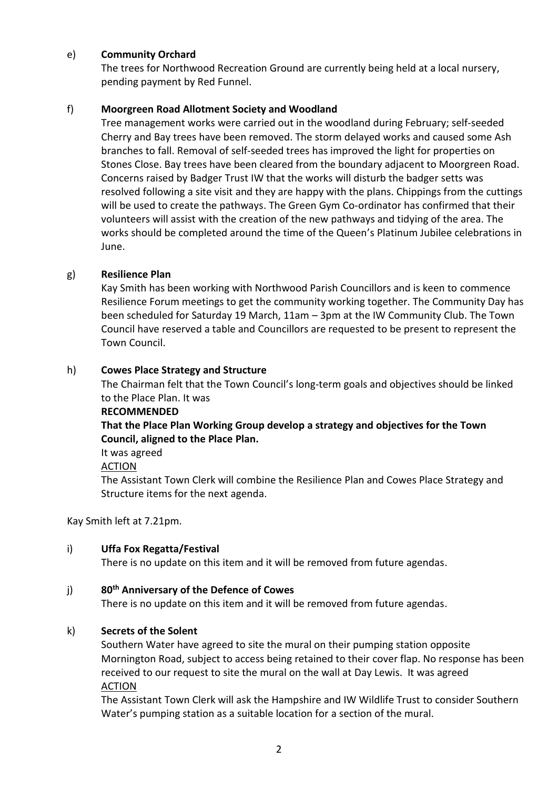### e) **Community Orchard**

The trees for Northwood Recreation Ground are currently being held at a local nursery, pending payment by Red Funnel.

### f) **Moorgreen Road Allotment Society and Woodland**

Tree management works were carried out in the woodland during February; self-seeded Cherry and Bay trees have been removed. The storm delayed works and caused some Ash branches to fall. Removal of self-seeded trees has improved the light for properties on Stones Close. Bay trees have been cleared from the boundary adjacent to Moorgreen Road. Concerns raised by Badger Trust IW that the works will disturb the badger setts was resolved following a site visit and they are happy with the plans. Chippings from the cuttings will be used to create the pathways. The Green Gym Co-ordinator has confirmed that their volunteers will assist with the creation of the new pathways and tidying of the area. The works should be completed around the time of the Queen's Platinum Jubilee celebrations in June.

### g) **Resilience Plan**

Kay Smith has been working with Northwood Parish Councillors and is keen to commence Resilience Forum meetings to get the community working together. The Community Day has been scheduled for Saturday 19 March, 11am – 3pm at the IW Community Club. The Town Council have reserved a table and Councillors are requested to be present to represent the Town Council.

### h) **Cowes Place Strategy and Structure**

The Chairman felt that the Town Council's long-term goals and objectives should be linked to the Place Plan. It was

#### **RECOMMENDED**

**That the Place Plan Working Group develop a strategy and objectives for the Town Council, aligned to the Place Plan.**

It was agreed

#### ACTION

The Assistant Town Clerk will combine the Resilience Plan and Cowes Place Strategy and Structure items for the next agenda.

#### Kay Smith left at 7.21pm.

#### i) **Uffa Fox Regatta/Festival**

There is no update on this item and it will be removed from future agendas.

#### j) **80th Anniversary of the Defence of Cowes**

There is no update on this item and it will be removed from future agendas.

## k) **Secrets of the Solent**

Southern Water have agreed to site the mural on their pumping station opposite Mornington Road, subject to access being retained to their cover flap. No response has been received to our request to site the mural on the wall at Day Lewis. It was agreed ACTION

The Assistant Town Clerk will ask the Hampshire and IW Wildlife Trust to consider Southern Water's pumping station as a suitable location for a section of the mural.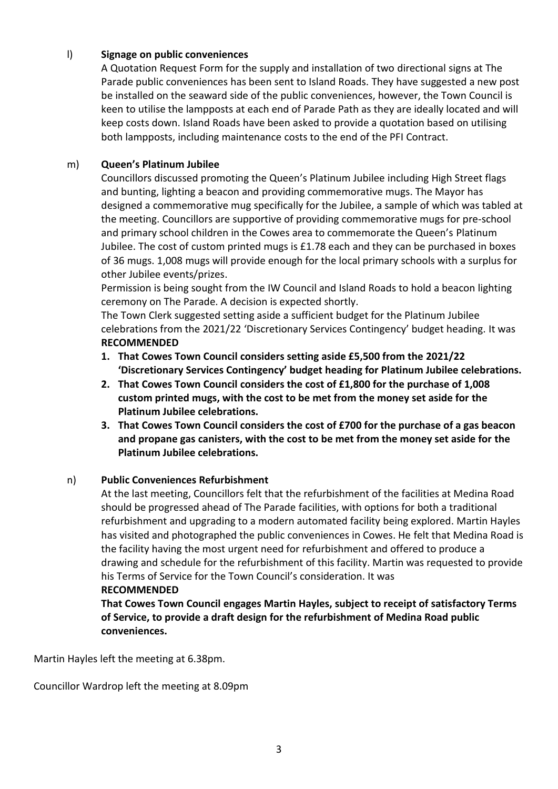### l) **Signage on public conveniences**

A Quotation Request Form for the supply and installation of two directional signs at The Parade public conveniences has been sent to Island Roads. They have suggested a new post be installed on the seaward side of the public conveniences, however, the Town Council is keen to utilise the lampposts at each end of Parade Path as they are ideally located and will keep costs down. Island Roads have been asked to provide a quotation based on utilising both lampposts, including maintenance costs to the end of the PFI Contract.

#### m) **Queen's Platinum Jubilee**

Councillors discussed promoting the Queen's Platinum Jubilee including High Street flags and bunting, lighting a beacon and providing commemorative mugs. The Mayor has designed a commemorative mug specifically for the Jubilee, a sample of which was tabled at the meeting. Councillors are supportive of providing commemorative mugs for pre-school and primary school children in the Cowes area to commemorate the Queen's Platinum Jubilee. The cost of custom printed mugs is £1.78 each and they can be purchased in boxes of 36 mugs. 1,008 mugs will provide enough for the local primary schools with a surplus for other Jubilee events/prizes.

Permission is being sought from the IW Council and Island Roads to hold a beacon lighting ceremony on The Parade. A decision is expected shortly.

The Town Clerk suggested setting aside a sufficient budget for the Platinum Jubilee celebrations from the 2021/22 'Discretionary Services Contingency' budget heading. It was **RECOMMENDED**

- **1. That Cowes Town Council considers setting aside £5,500 from the 2021/22 'Discretionary Services Contingency' budget heading for Platinum Jubilee celebrations.**
- **2. That Cowes Town Council considers the cost of £1,800 for the purchase of 1,008 custom printed mugs, with the cost to be met from the money set aside for the Platinum Jubilee celebrations.**
- **3. That Cowes Town Council considers the cost of £700 for the purchase of a gas beacon and propane gas canisters, with the cost to be met from the money set aside for the Platinum Jubilee celebrations.**

## n) **Public Conveniences Refurbishment**

At the last meeting, Councillors felt that the refurbishment of the facilities at Medina Road should be progressed ahead of The Parade facilities, with options for both a traditional refurbishment and upgrading to a modern automated facility being explored. Martin Hayles has visited and photographed the public conveniences in Cowes. He felt that Medina Road is the facility having the most urgent need for refurbishment and offered to produce a drawing and schedule for the refurbishment of this facility. Martin was requested to provide his Terms of Service for the Town Council's consideration. It was

#### **RECOMMENDED**

**That Cowes Town Council engages Martin Hayles, subject to receipt of satisfactory Terms of Service, to provide a draft design for the refurbishment of Medina Road public conveniences.**

Martin Hayles left the meeting at 6.38pm.

Councillor Wardrop left the meeting at 8.09pm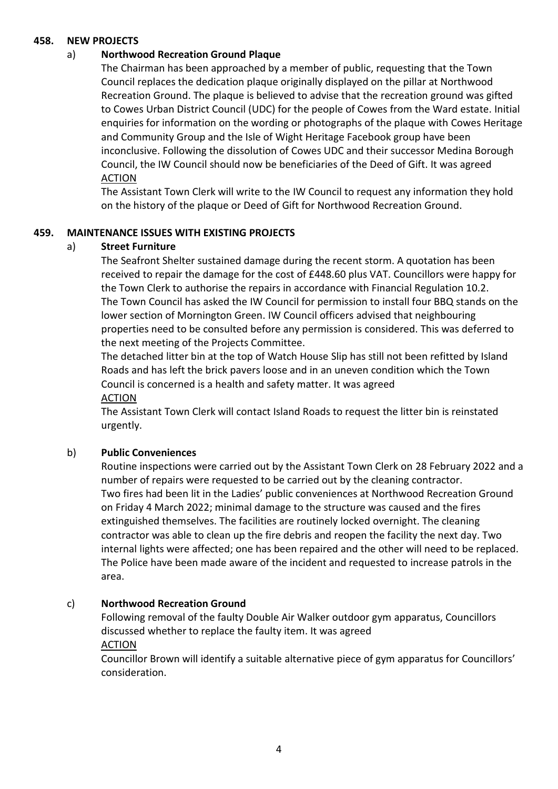#### **458. NEW PROJECTS**

#### a) **Northwood Recreation Ground Plaque**

The Chairman has been approached by a member of public, requesting that the Town Council replaces the dedication plaque originally displayed on the pillar at Northwood Recreation Ground. The plaque is believed to advise that the recreation ground was gifted to Cowes Urban District Council (UDC) for the people of Cowes from the Ward estate. Initial enquiries for information on the wording or photographs of the plaque with Cowes Heritage and Community Group and the Isle of Wight Heritage Facebook group have been inconclusive. Following the dissolution of Cowes UDC and their successor Medina Borough Council, the IW Council should now be beneficiaries of the Deed of Gift. It was agreed **ACTION** 

The Assistant Town Clerk will write to the IW Council to request any information they hold on the history of the plaque or Deed of Gift for Northwood Recreation Ground.

#### **459. MAINTENANCE ISSUES WITH EXISTING PROJECTS**

### a) **Street Furniture**

The Seafront Shelter sustained damage during the recent storm. A quotation has been received to repair the damage for the cost of £448.60 plus VAT. Councillors were happy for the Town Clerk to authorise the repairs in accordance with Financial Regulation 10.2. The Town Council has asked the IW Council for permission to install four BBQ stands on the lower section of Mornington Green. IW Council officers advised that neighbouring properties need to be consulted before any permission is considered. This was deferred to the next meeting of the Projects Committee.

The detached litter bin at the top of Watch House Slip has still not been refitted by Island Roads and has left the brick pavers loose and in an uneven condition which the Town Council is concerned is a health and safety matter. It was agreed ACTION

The Assistant Town Clerk will contact Island Roads to request the litter bin is reinstated urgently.

#### b) **Public Conveniences**

Routine inspections were carried out by the Assistant Town Clerk on 28 February 2022 and a number of repairs were requested to be carried out by the cleaning contractor. Two fires had been lit in the Ladies' public conveniences at Northwood Recreation Ground on Friday 4 March 2022; minimal damage to the structure was caused and the fires extinguished themselves. The facilities are routinely locked overnight. The cleaning contractor was able to clean up the fire debris and reopen the facility the next day. Two internal lights were affected; one has been repaired and the other will need to be replaced. The Police have been made aware of the incident and requested to increase patrols in the area.

#### c) **Northwood Recreation Ground**

Following removal of the faulty Double Air Walker outdoor gym apparatus, Councillors discussed whether to replace the faulty item. It was agreed ACTION

Councillor Brown will identify a suitable alternative piece of gym apparatus for Councillors' consideration.